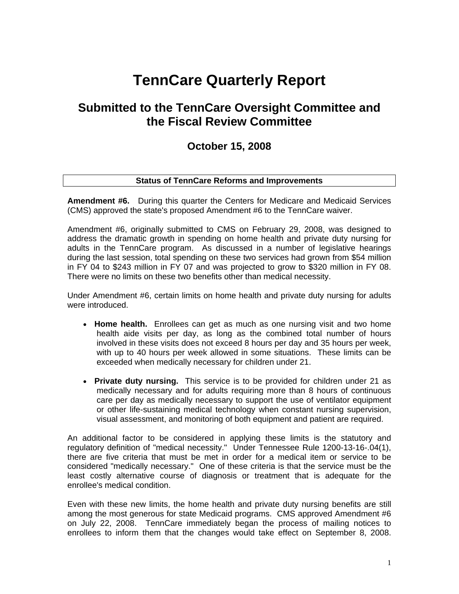# **TennCare Quarterly Report**

# **Submitted to the TennCare Oversight Committee and the Fiscal Review Committee**

# **October 15, 2008**

#### **Status of TennCare Reforms and Improvements**

**Amendment #6.** During this quarter the Centers for Medicare and Medicaid Services (CMS) approved the state's proposed Amendment #6 to the TennCare waiver.

Amendment #6, originally submitted to CMS on February 29, 2008, was designed to address the dramatic growth in spending on home health and private duty nursing for adults in the TennCare program. As discussed in a number of legislative hearings during the last session, total spending on these two services had grown from \$54 million in FY 04 to \$243 million in FY 07 and was projected to grow to \$320 million in FY 08. There were no limits on these two benefits other than medical necessity.

Under Amendment #6, certain limits on home health and private duty nursing for adults were introduced.

- **Home health.** Enrollees can get as much as one nursing visit and two home health aide visits per day, as long as the combined total number of hours involved in these visits does not exceed 8 hours per day and 35 hours per week, with up to 40 hours per week allowed in some situations. These limits can be exceeded when medically necessary for children under 21.
- **Private duty nursing.** This service is to be provided for children under 21 as medically necessary and for adults requiring more than 8 hours of continuous care per day as medically necessary to support the use of ventilator equipment or other life-sustaining medical technology when constant nursing supervision, visual assessment, and monitoring of both equipment and patient are required.

An additional factor to be considered in applying these limits is the statutory and regulatory definition of "medical necessity." Under Tennessee Rule 1200-13-16-.04(1), there are five criteria that must be met in order for a medical item or service to be considered "medically necessary." One of these criteria is that the service must be the least costly alternative course of diagnosis or treatment that is adequate for the enrollee's medical condition.

Even with these new limits, the home health and private duty nursing benefits are still among the most generous for state Medicaid programs. CMS approved Amendment #6 on July 22, 2008. TennCare immediately began the process of mailing notices to enrollees to inform them that the changes would take effect on September 8, 2008.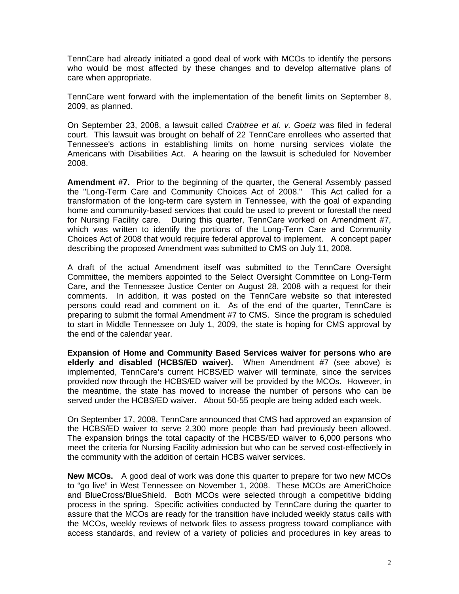TennCare had already initiated a good deal of work with MCOs to identify the persons who would be most affected by these changes and to develop alternative plans of care when appropriate.

TennCare went forward with the implementation of the benefit limits on September 8, 2009, as planned.

On September 23, 2008, a lawsuit called *Crabtree et al. v. Goetz* was filed in federal court. This lawsuit was brought on behalf of 22 TennCare enrollees who asserted that Tennessee's actions in establishing limits on home nursing services violate the Americans with Disabilities Act. A hearing on the lawsuit is scheduled for November 2008.

**Amendment #7.** Prior to the beginning of the quarter, the General Assembly passed the "Long-Term Care and Community Choices Act of 2008." This Act called for a transformation of the long-term care system in Tennessee, with the goal of expanding home and community-based services that could be used to prevent or forestall the need for Nursing Facility care. During this quarter, TennCare worked on Amendment #7, which was written to identify the portions of the Long-Term Care and Community Choices Act of 2008 that would require federal approval to implement. A concept paper describing the proposed Amendment was submitted to CMS on July 11, 2008.

A draft of the actual Amendment itself was submitted to the TennCare Oversight Committee, the members appointed to the Select Oversight Committee on Long-Term Care, and the Tennessee Justice Center on August 28, 2008 with a request for their comments. In addition, it was posted on the TennCare website so that interested persons could read and comment on it. As of the end of the quarter, TennCare is preparing to submit the formal Amendment #7 to CMS. Since the program is scheduled to start in Middle Tennessee on July 1, 2009, the state is hoping for CMS approval by the end of the calendar year.

**Expansion of Home and Community Based Services waiver for persons who are elderly and disabled (HCBS/ED waiver).** When Amendment #7 (see above) is implemented, TennCare's current HCBS/ED waiver will terminate, since the services provided now through the HCBS/ED waiver will be provided by the MCOs. However, in the meantime, the state has moved to increase the number of persons who can be served under the HCBS/ED waiver. About 50-55 people are being added each week.

On September 17, 2008, TennCare announced that CMS had approved an expansion of the HCBS/ED waiver to serve 2,300 more people than had previously been allowed. The expansion brings the total capacity of the HCBS/ED waiver to 6,000 persons who meet the criteria for Nursing Facility admission but who can be served cost-effectively in the community with the addition of certain HCBS waiver services.

**New MCOs.** A good deal of work was done this quarter to prepare for two new MCOs to "go live" in West Tennessee on November 1, 2008. These MCOs are AmeriChoice and BlueCross/BlueShield. Both MCOs were selected through a competitive bidding process in the spring. Specific activities conducted by TennCare during the quarter to assure that the MCOs are ready for the transition have included weekly status calls with the MCOs, weekly reviews of network files to assess progress toward compliance with access standards, and review of a variety of policies and procedures in key areas to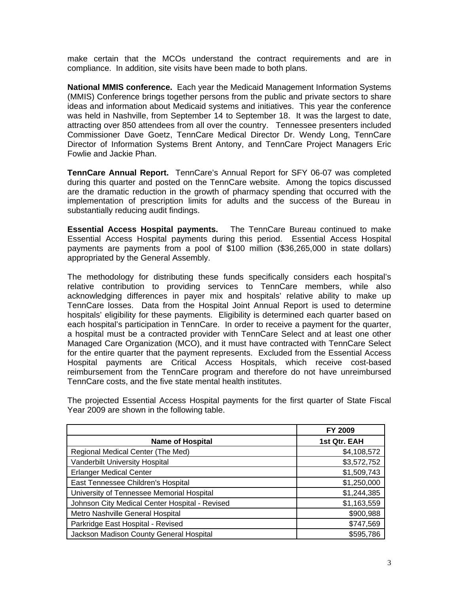make certain that the MCOs understand the contract requirements and are in compliance. In addition, site visits have been made to both plans.

**National MMIS conference.** Each year the Medicaid Management Information Systems (MMIS) Conference brings together persons from the public and private sectors to share ideas and information about Medicaid systems and initiatives. This year the conference was held in Nashville, from September 14 to September 18. It was the largest to date, attracting over 850 attendees from all over the country. Tennessee presenters included Commissioner Dave Goetz, TennCare Medical Director Dr. Wendy Long, TennCare Director of Information Systems Brent Antony, and TennCare Project Managers Eric Fowlie and Jackie Phan.

**TennCare Annual Report.** TennCare's Annual Report for SFY 06-07 was completed during this quarter and posted on the TennCare website. Among the topics discussed are the dramatic reduction in the growth of pharmacy spending that occurred with the implementation of prescription limits for adults and the success of the Bureau in substantially reducing audit findings.

**Essential Access Hospital payments.** The TennCare Bureau continued to make Essential Access Hospital payments during this period. Essential Access Hospital payments are payments from a pool of \$100 million (\$36,265,000 in state dollars) appropriated by the General Assembly.

The methodology for distributing these funds specifically considers each hospital's relative contribution to providing services to TennCare members, while also acknowledging differences in payer mix and hospitals' relative ability to make up TennCare losses. Data from the Hospital Joint Annual Report is used to determine hospitals' eligibility for these payments. Eligibility is determined each quarter based on each hospital's participation in TennCare. In order to receive a payment for the quarter, a hospital must be a contracted provider with TennCare Select and at least one other Managed Care Organization (MCO), and it must have contracted with TennCare Select for the entire quarter that the payment represents. Excluded from the Essential Access Hospital payments are Critical Access Hospitals, which receive cost-based reimbursement from the TennCare program and therefore do not have unreimbursed TennCare costs, and the five state mental health institutes.

|                                                | FY 2009      |
|------------------------------------------------|--------------|
| <b>Name of Hospital</b>                        | 1st Qtr. EAH |
| Regional Medical Center (The Med)              | \$4,108,572  |
| Vanderbilt University Hospital                 | \$3,572,752  |
| <b>Erlanger Medical Center</b>                 | \$1,509,743  |
| East Tennessee Children's Hospital             | \$1,250,000  |
| University of Tennessee Memorial Hospital      | \$1,244,385  |
| Johnson City Medical Center Hospital - Revised | \$1,163,559  |
| Metro Nashville General Hospital               | \$900,988    |
| Parkridge East Hospital - Revised              | \$747,569    |
| Jackson Madison County General Hospital        | \$595,786    |

The projected Essential Access Hospital payments for the first quarter of State Fiscal Year 2009 are shown in the following table.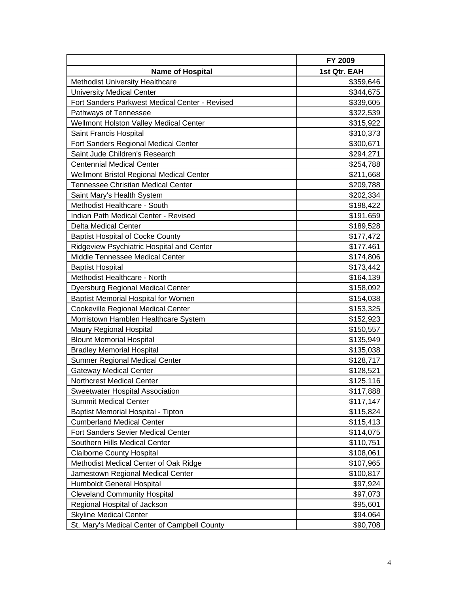|                                                | FY 2009      |
|------------------------------------------------|--------------|
| <b>Name of Hospital</b>                        | 1st Qtr. EAH |
| Methodist University Healthcare                | \$359,646    |
| <b>University Medical Center</b>               | \$344,675    |
| Fort Sanders Parkwest Medical Center - Revised | \$339,605    |
| Pathways of Tennessee                          | \$322,539    |
| Wellmont Holston Valley Medical Center         | \$315,922    |
| Saint Francis Hospital                         | \$310,373    |
| Fort Sanders Regional Medical Center           | \$300,671    |
| Saint Jude Children's Research                 | \$294,271    |
| <b>Centennial Medical Center</b>               | \$254,788    |
| Wellmont Bristol Regional Medical Center       | \$211,668    |
| <b>Tennessee Christian Medical Center</b>      | \$209,788    |
| Saint Mary's Health System                     | \$202,334    |
| Methodist Healthcare - South                   | \$198,422    |
| Indian Path Medical Center - Revised           | \$191,659    |
| <b>Delta Medical Center</b>                    | \$189,528    |
| <b>Baptist Hospital of Cocke County</b>        | \$177,472    |
| Ridgeview Psychiatric Hospital and Center      | \$177,461    |
| Middle Tennessee Medical Center                | \$174,806    |
| <b>Baptist Hospital</b>                        | \$173,442    |
| Methodist Healthcare - North                   | \$164,139    |
| Dyersburg Regional Medical Center              | \$158,092    |
| <b>Baptist Memorial Hospital for Women</b>     | \$154,038    |
| Cookeville Regional Medical Center             | \$153,325    |
| Morristown Hamblen Healthcare System           | \$152,923    |
| <b>Maury Regional Hospital</b>                 | \$150,557    |
| <b>Blount Memorial Hospital</b>                | \$135,949    |
| <b>Bradley Memorial Hospital</b>               | \$135,038    |
| <b>Sumner Regional Medical Center</b>          | \$128,717    |
| <b>Gateway Medical Center</b>                  | \$128,521    |
| Northcrest Medical Center                      | \$125,116    |
| Sweetwater Hospital Association                | \$117,888    |
| <b>Summit Medical Center</b>                   | \$117,147    |
| Baptist Memorial Hospital - Tipton             | \$115,824    |
| <b>Cumberland Medical Center</b>               | \$115,413    |
| Fort Sanders Sevier Medical Center             | \$114,075    |
| Southern Hills Medical Center                  | \$110,751    |
| <b>Claiborne County Hospital</b>               | \$108,061    |
| Methodist Medical Center of Oak Ridge          | \$107,965    |
| Jamestown Regional Medical Center              | \$100,817    |
| Humboldt General Hospital                      | \$97,924     |
| <b>Cleveland Community Hospital</b>            | \$97,073     |
| Regional Hospital of Jackson                   | \$95,601     |
| <b>Skyline Medical Center</b>                  | \$94,064     |
| St. Mary's Medical Center of Campbell County   | \$90,708     |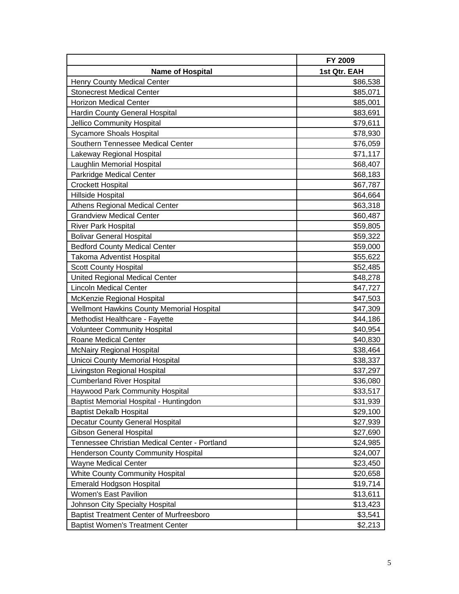|                                                 | FY 2009      |
|-------------------------------------------------|--------------|
| <b>Name of Hospital</b>                         | 1st Qtr. EAH |
| <b>Henry County Medical Center</b>              | \$86,538     |
| <b>Stonecrest Medical Center</b>                | \$85,071     |
| <b>Horizon Medical Center</b>                   | \$85,001     |
| Hardin County General Hospital                  | \$83,691     |
| <b>Jellico Community Hospital</b>               | \$79,611     |
| <b>Sycamore Shoals Hospital</b>                 | \$78,930     |
| Southern Tennessee Medical Center               | \$76,059     |
| Lakeway Regional Hospital                       | \$71,117     |
| Laughlin Memorial Hospital                      | \$68,407     |
| Parkridge Medical Center                        | \$68,183     |
| <b>Crockett Hospital</b>                        | \$67,787     |
| Hillside Hospital                               | \$64,664     |
| Athens Regional Medical Center                  | \$63,318     |
| <b>Grandview Medical Center</b>                 | \$60,487     |
| <b>River Park Hospital</b>                      | \$59,805     |
| <b>Bolivar General Hospital</b>                 | \$59,322     |
| <b>Bedford County Medical Center</b>            | \$59,000     |
| <b>Takoma Adventist Hospital</b>                | \$55,622     |
| <b>Scott County Hospital</b>                    | \$52,485     |
| <b>United Regional Medical Center</b>           | \$48,278     |
| <b>Lincoln Medical Center</b>                   | \$47,727     |
| McKenzie Regional Hospital                      | \$47,503     |
| Wellmont Hawkins County Memorial Hospital       | \$47,309     |
| Methodist Healthcare - Fayette                  | \$44,186     |
| <b>Volunteer Community Hospital</b>             | \$40,954     |
| <b>Roane Medical Center</b>                     | \$40,830     |
| <b>McNairy Regional Hospital</b>                | \$38,464     |
| Unicoi County Memorial Hospital                 | \$38,337     |
| Livingston Regional Hospital                    | \$37,297     |
| <b>Cumberland River Hospital</b>                | \$36,080     |
| Haywood Park Community Hospital                 | \$33,517     |
| Baptist Memorial Hospital - Huntingdon          | \$31,939     |
| <b>Baptist Dekalb Hospital</b>                  | \$29,100     |
| <b>Decatur County General Hospital</b>          | \$27,939     |
| <b>Gibson General Hospital</b>                  | \$27,690     |
| Tennessee Christian Medical Center - Portland   | \$24,985     |
| Henderson County Community Hospital             | \$24,007     |
| <b>Wayne Medical Center</b>                     | \$23,450     |
| <b>White County Community Hospital</b>          | \$20,658     |
| <b>Emerald Hodgson Hospital</b>                 | \$19,714     |
| Women's East Pavilion                           | \$13,611     |
| Johnson City Specialty Hospital                 | \$13,423     |
| <b>Baptist Treatment Center of Murfreesboro</b> | \$3,541      |
| <b>Baptist Women's Treatment Center</b>         | \$2,213      |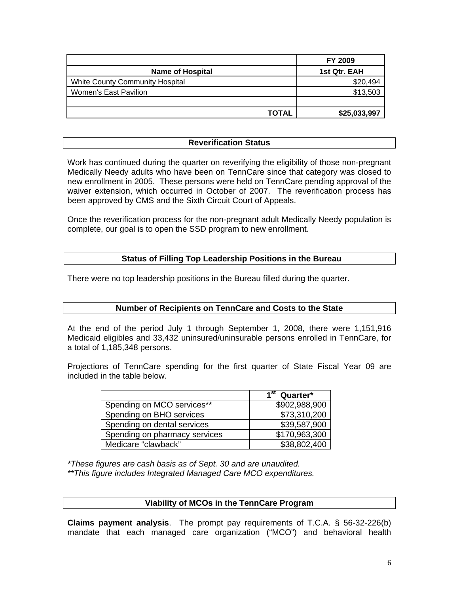|                                 | <b>FY 2009</b> |
|---------------------------------|----------------|
| <b>Name of Hospital</b>         | 1st Qtr. EAH   |
| White County Community Hospital | \$20,494       |
| Women's East Pavilion           | \$13,503       |
|                                 |                |
| TOTAL                           | \$25,033,997   |

#### **Reverification Status**

Work has continued during the quarter on reverifying the eligibility of those non-pregnant Medically Needy adults who have been on TennCare since that category was closed to new enrollment in 2005. These persons were held on TennCare pending approval of the waiver extension, which occurred in October of 2007. The reverification process has been approved by CMS and the Sixth Circuit Court of Appeals.

Once the reverification process for the non-pregnant adult Medically Needy population is complete, our goal is to open the SSD program to new enrollment.

#### **Status of Filling Top Leadership Positions in the Bureau**

There were no top leadership positions in the Bureau filled during the quarter.

# **Number of Recipients on TennCare and Costs to the State**

At the end of the period July 1 through September 1, 2008, there were 1,151,916 Medicaid eligibles and 33,432 uninsured/uninsurable persons enrolled in TennCare, for a total of 1,185,348 persons.

Projections of TennCare spending for the first quarter of State Fiscal Year 09 are included in the table below.

|                               | $\overline{1^{st}}$ Quarter* |
|-------------------------------|------------------------------|
| Spending on MCO services**    | \$902,988,900                |
| Spending on BHO services      | \$73,310,200                 |
| Spending on dental services   | \$39,587,900                 |
| Spending on pharmacy services | \$170,963,300                |
| Medicare "clawback"           | \$38,802,400                 |

*\*These figures are cash basis as of Sept. 30 and are unaudited. \*\*This figure includes Integrated Managed Care MCO expenditures.* 

#### **Viability of MCOs in the TennCare Program**

**Claims payment analysis**. The prompt pay requirements of T.C.A. § 56-32-226(b) mandate that each managed care organization ("MCO") and behavioral health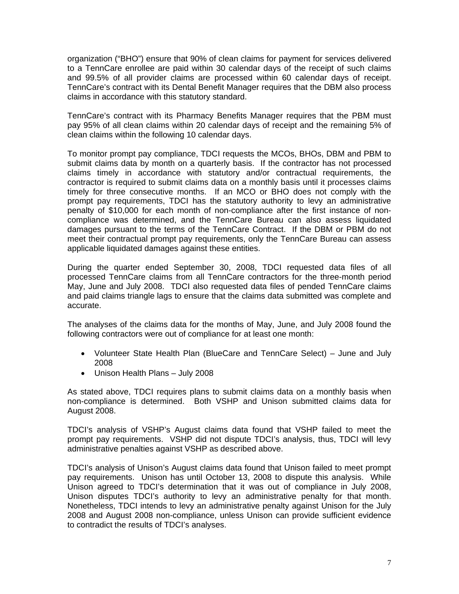organization ("BHO") ensure that 90% of clean claims for payment for services delivered to a TennCare enrollee are paid within 30 calendar days of the receipt of such claims and 99.5% of all provider claims are processed within 60 calendar days of receipt. TennCare's contract with its Dental Benefit Manager requires that the DBM also process claims in accordance with this statutory standard.

TennCare's contract with its Pharmacy Benefits Manager requires that the PBM must pay 95% of all clean claims within 20 calendar days of receipt and the remaining 5% of clean claims within the following 10 calendar days.

To monitor prompt pay compliance, TDCI requests the MCOs, BHOs, DBM and PBM to submit claims data by month on a quarterly basis. If the contractor has not processed claims timely in accordance with statutory and/or contractual requirements, the contractor is required to submit claims data on a monthly basis until it processes claims timely for three consecutive months. If an MCO or BHO does not comply with the prompt pay requirements, TDCI has the statutory authority to levy an administrative penalty of \$10,000 for each month of non-compliance after the first instance of noncompliance was determined, and the TennCare Bureau can also assess liquidated damages pursuant to the terms of the TennCare Contract. If the DBM or PBM do not meet their contractual prompt pay requirements, only the TennCare Bureau can assess applicable liquidated damages against these entities.

During the quarter ended September 30, 2008, TDCI requested data files of all processed TennCare claims from all TennCare contractors for the three-month period May, June and July 2008. TDCI also requested data files of pended TennCare claims and paid claims triangle lags to ensure that the claims data submitted was complete and accurate.

The analyses of the claims data for the months of May, June, and July 2008 found the following contractors were out of compliance for at least one month:

- Volunteer State Health Plan (BlueCare and TennCare Select) June and July 2008
- Unison Health Plans July 2008

As stated above, TDCI requires plans to submit claims data on a monthly basis when non-compliance is determined. Both VSHP and Unison submitted claims data for August 2008.

TDCI's analysis of VSHP's August claims data found that VSHP failed to meet the prompt pay requirements. VSHP did not dispute TDCI's analysis, thus, TDCI will levy administrative penalties against VSHP as described above.

TDCI's analysis of Unison's August claims data found that Unison failed to meet prompt pay requirements. Unison has until October 13, 2008 to dispute this analysis. While Unison agreed to TDCI's determination that it was out of compliance in July 2008, Unison disputes TDCI's authority to levy an administrative penalty for that month. Nonetheless, TDCI intends to levy an administrative penalty against Unison for the July 2008 and August 2008 non-compliance, unless Unison can provide sufficient evidence to contradict the results of TDCI's analyses.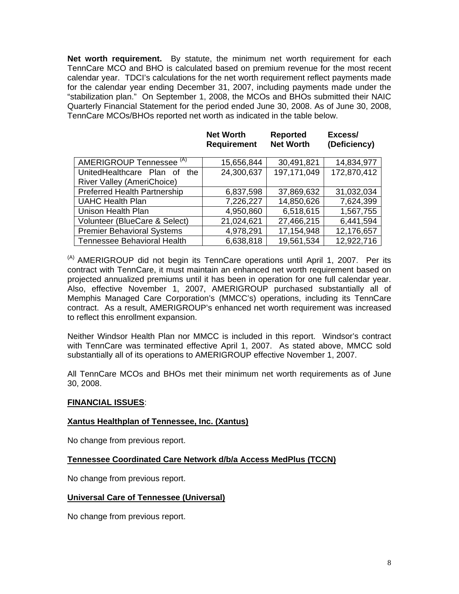**Net worth requirement.** By statute, the minimum net worth requirement for each TennCare MCO and BHO is calculated based on premium revenue for the most recent calendar year. TDCI's calculations for the net worth requirement reflect payments made for the calendar year ending December 31, 2007, including payments made under the "stabilization plan." On September 1, 2008, the MCOs and BHOs submitted their NAIC Quarterly Financial Statement for the period ended June 30, 2008. As of June 30, 2008, TennCare MCOs/BHOs reported net worth as indicated in the table below.

|                                     | <b>NEL VYULLII</b><br><b>Requirement</b> | <b>NEPOLIEU</b><br><b>Net Worth</b> | <b>СЛССЭЭ</b><br>(Deficiency) |
|-------------------------------------|------------------------------------------|-------------------------------------|-------------------------------|
| AMERIGROUP Tennessee <sup>(A)</sup> | 15,656,844                               | 30,491,821                          | 14,834,977                    |
| UnitedHealthcare Plan of<br>the     | 24,300,637                               | 197,171,049                         | 172,870,412                   |
| <b>River Valley (AmeriChoice)</b>   |                                          |                                     |                               |
| <b>Preferred Health Partnership</b> | 6,837,598                                | 37,869,632                          | 31,032,034                    |
| <b>UAHC Health Plan</b>             | 7,226,227                                | 14,850,626                          | 7,624,399                     |
| Unison Health Plan                  | 4,950,860                                | 6,518,615                           | 1,567,755                     |
| Volunteer (BlueCare & Select)       | 21,024,621                               | 27,466,215                          | 6,441,594                     |
| <b>Premier Behavioral Systems</b>   | 4,978,291                                | 17,154,948                          | 12,176,657                    |
| <b>Tennessee Behavioral Health</b>  | 6,638,818                                | 19,561,534                          | 12,922,716                    |

**Net Worth** 

**Reported** 

Expose/

 $<sup>(A)</sup>$  AMERIGROUP did not begin its TennCare operations until April 1, 2007. Per its</sup> contract with TennCare, it must maintain an enhanced net worth requirement based on projected annualized premiums until it has been in operation for one full calendar year. Also, effective November 1, 2007, AMERIGROUP purchased substantially all of Memphis Managed Care Corporation's (MMCC's) operations, including its TennCare contract. As a result, AMERIGROUP's enhanced net worth requirement was increased to reflect this enrollment expansion.

Neither Windsor Health Plan nor MMCC is included in this report. Windsor's contract with TennCare was terminated effective April 1, 2007. As stated above, MMCC sold substantially all of its operations to AMERIGROUP effective November 1, 2007.

All TennCare MCOs and BHOs met their minimum net worth requirements as of June 30, 2008.

#### **FINANCIAL ISSUES**:

#### **Xantus Healthplan of Tennessee, Inc. (Xantus)**

No change from previous report.

#### **Tennessee Coordinated Care Network d/b/a Access MedPlus (TCCN)**

No change from previous report.

#### **Universal Care of Tennessee (Universal)**

No change from previous report.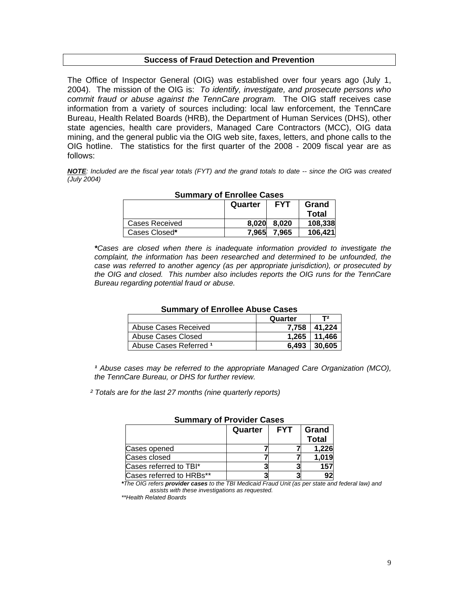#### **Success of Fraud Detection and Prevention**

The Office of Inspector General (OIG) was established over four years ago (July 1, 2004). The mission of the OIG is: *To identify, investigate, and prosecute persons who commit fraud or abuse against the TennCare program.* The OIG staff receives case information from a variety of sources including: local law enforcement, the TennCare Bureau, Health Related Boards (HRB), the Department of Human Services (DHS), other state agencies, health care providers, Managed Care Contractors (MCC), OIG data mining, and the general public via the OIG web site, faxes, letters, and phone calls to the OIG hotline. The statistics for the first quarter of the 2008 - 2009 fiscal year are as follows:

*NOTE: Included are the fiscal year totals (FYT) and the grand totals to date -- since the OIG was created (July 2004)* 

| <b>SUILING VOL LITURE CASES</b> |         |            |         |
|---------------------------------|---------|------------|---------|
|                                 | Quarter | <b>FYT</b> | Grand   |
|                                 |         |            | Total   |
| Cases Received                  | 8.020   | 8.020      | 108,338 |
| Cases Closed*                   | 7.965   | 7.965      | 106.421 |

# **Summary of Enrollee Cases**

*\*Cases are closed when there is inadequate information provided to investigate the complaint, the information has been researched and determined to be unfounded, the case was referred to another agency (as per appropriate jurisdiction), or prosecuted by the OIG and closed. This number also includes reports the OIG runs for the TennCare Bureau regarding potential fraud or abuse.* 

| Sulling y Of Enfolled Abuse Cases |         |                  |
|-----------------------------------|---------|------------------|
|                                   | Quarter | T2               |
| Abuse Cases Received              |         | 7.758 41.224     |
| Abuse Cases Closed                |         | $1,265$   11,466 |
| Abuse Cases Referred 1            | $6.493$ | 30.605           |

#### **Summary of Enrollee Abuse Cases**

<sup>1</sup> Abuse cases may be referred to the appropriate Managed Care Organization (MCO), *the TennCare Bureau, or DHS for further review.* 

 *² Totals are for the last 27 months (nine quarterly reports)* 

| <b>SUILIIIIAI VUI FIUVIUTI GASTS</b> |         |            |              |
|--------------------------------------|---------|------------|--------------|
|                                      | Quarter | <b>FYT</b> | Grand        |
|                                      |         |            | <b>Total</b> |
| Cases opened                         |         |            | 1,226        |
| Cases closed                         |         |            | 1.019        |
| Cases referred to TBI*               |         |            | 157          |
| Cases referred to HRBs**             |         |            | 92           |

#### **Summary of Provider Cases**

*\*The OIG refers provider cases to the TBI Medicaid Fraud Unit (as per state and federal law) and assists with these investigations as requested.* 

 *\*\*Health Related Boards*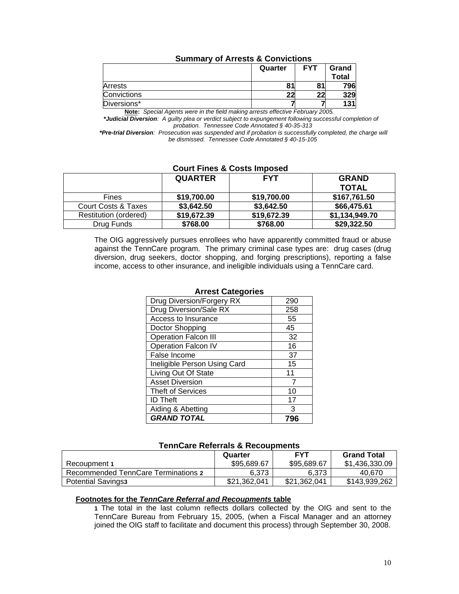|             | <b>SUITINGLY OF ALLESIS &amp; CONVICTIONS</b> |            |                |  |
|-------------|-----------------------------------------------|------------|----------------|--|
|             | Quarter                                       | <b>FYT</b> | Grand<br>Total |  |
| Arrests     |                                               | 81         | 796            |  |
| Convictions | 22                                            | າາ         | 329            |  |

# **Summary of Arrests & Convictions**

Diversions\* **7 7 131 Note:** *Special Agents were in the field making arrests effective February 2005.* 

 *\*Judicial Diversion: A guilty plea or verdict subject to expungement following successful completion of probation. Tennessee Code Annotated § 40-35-313* 

 *\*Pre-trial Diversion: Prosecution was suspended and if probation is successfully completed, the charge will be dismissed. Tennessee Code Annotated § 40-15-105* 

#### **Court Fines & Costs Imposed**

|                       | <b>QUARTER</b> | <b>FYT</b>  | <b>GRAND</b>   |
|-----------------------|----------------|-------------|----------------|
|                       |                |             | <b>TOTAL</b>   |
| Fines                 | \$19,700.00    | \$19,700.00 | \$167,761.50   |
| Court Costs & Taxes   | \$3,642.50     | \$3,642.50  | \$66,475.61    |
| Restitution (ordered) | \$19,672.39    | \$19,672.39 | \$1,134,949.70 |
| Drug Funds            | \$768.00       | \$768.00    | \$29,322.50    |

The OIG aggressively pursues enrollees who have apparently committed fraud or abuse against the TennCare program. The primary criminal case types are: drug cases (drug diversion, drug seekers, doctor shopping, and forging prescriptions), reporting a false income, access to other insurance, and ineligible individuals using a TennCare card.

| Allest Caleguries            |     |  |  |
|------------------------------|-----|--|--|
| Drug Diversion/Forgery RX    | 290 |  |  |
| Drug Diversion/Sale RX       | 258 |  |  |
| Access to Insurance          | 55  |  |  |
| Doctor Shopping              | 45  |  |  |
| <b>Operation Falcon III</b>  | 32  |  |  |
| <b>Operation Falcon IV</b>   | 16  |  |  |
| False Income                 | 37  |  |  |
| Ineligible Person Using Card | 15  |  |  |
| Living Out Of State          | 11  |  |  |
| <b>Asset Diversion</b>       |     |  |  |
| <b>Theft of Services</b>     | 10  |  |  |
| <b>ID Theft</b>              | 17  |  |  |
| Aiding & Abetting            | 3   |  |  |
| <b>GRAND TOTAL</b>           |     |  |  |

#### **Arrest Categories**

#### **TennCare Referrals & Recoupments**

|                                     | Quarter      | <b>FYT</b>   | <b>Grand Total</b> |  |  |
|-------------------------------------|--------------|--------------|--------------------|--|--|
| Recoupment 1                        | \$95,689,67  | \$95,689,67  | \$1,436,330.09     |  |  |
| Recommended TennCare Terminations 2 | 6.373        | 6.373        | 40.670             |  |  |
| <b>Potential Savings3</b>           | \$21,362,041 | \$21.362.041 | \$143,939,262      |  |  |

#### **Footnotes for the** *TennCare Referral and Recoupments* **table**

 **1** The total in the last column reflects dollars collected by the OIG and sent to the TennCare Bureau from February 15, 2005, (when a Fiscal Manager and an attorney joined the OIG staff to facilitate and document this process) through September 30, 2008.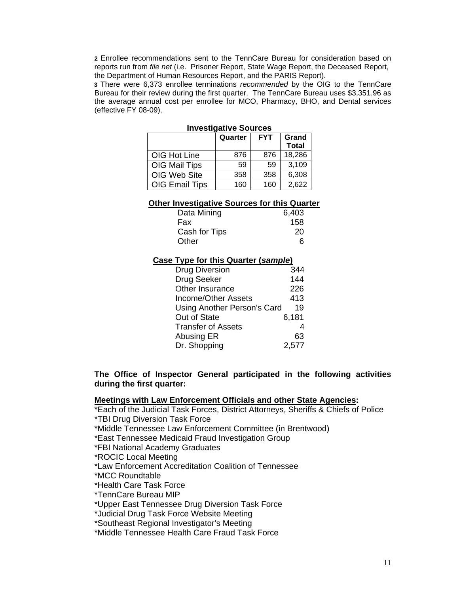**2** Enrollee recommendations sent to the TennCare Bureau for consideration based on reports run from *file net* (i.e. Prisoner Report, State Wage Report, the Deceased Report, the Department of Human Resources Report, and the PARIS Report).

 **3** There were 6,373 enrollee terminations *recommended* by the OIG to the TennCare Bureau for their review during the first quarter. The TennCare Bureau uses \$3,351.96 as the average annual cost per enrollee for MCO, Pharmacy, BHO, and Dental services (effective FY 08-09).

| 11176311481176 OUUI C63 |         |            |                       |  |
|-------------------------|---------|------------|-----------------------|--|
|                         | Quarter | <b>FYT</b> | Grand<br><b>Total</b> |  |
| OIG Hot Line            | 876     | 876        | 18,286                |  |
| OIG Mail Tips           | 59      | 59         | 3,109                 |  |
| OIG Web Site            | 358     | 358        | 6,308                 |  |
| <b>OIG Email Tips</b>   | 160     | 160        | 2,622                 |  |

| <b>Investigative Sources</b> |
|------------------------------|
|------------------------------|

#### **Other Investigative Sources for this Quarter**

| Data Mining   | 6,403 |
|---------------|-------|
| Fax           | 158   |
| Cash for Tips | 20    |
| Other         |       |

#### **Case Type for this Quarter (***sample***)**

| <b>Drug Diversion</b>       | 344   |
|-----------------------------|-------|
| Drug Seeker                 | 144   |
| Other Insurance             | 226   |
| Income/Other Assets         | 413   |
| Using Another Person's Card | 19    |
| Out of State                | 6,181 |
| <b>Transfer of Assets</b>   |       |
| Abusing ER                  | 63    |
| Dr. Shopping                | 2,577 |

**The Office of Inspector General participated in the following activities during the first quarter:** 

#### **Meetings with Law Enforcement Officials and other State Agencies:**

\*Each of the Judicial Task Forces, District Attorneys, Sheriffs & Chiefs of Police \*TBI Drug Diversion Task Force

\*Middle Tennessee Law Enforcement Committee (in Brentwood)

\*East Tennessee Medicaid Fraud Investigation Group

\*FBI National Academy Graduates

\*ROCIC Local Meeting

\*Law Enforcement Accreditation Coalition of Tennessee

\*MCC Roundtable

\*Health Care Task Force

\*TennCare Bureau MIP

\*Upper East Tennessee Drug Diversion Task Force

\*Judicial Drug Task Force Website Meeting

\*Southeast Regional Investigator's Meeting

\*Middle Tennessee Health Care Fraud Task Force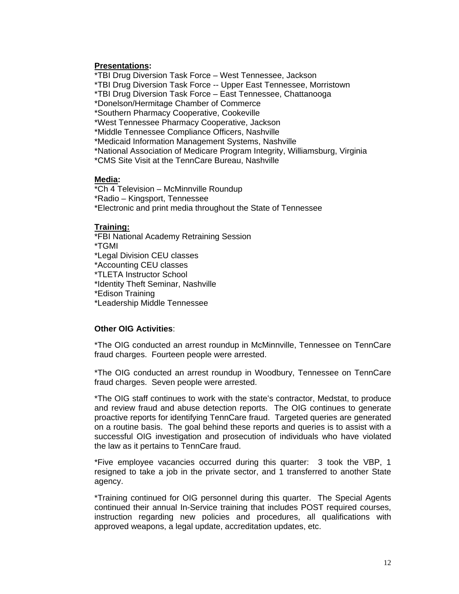#### **Presentations:**

 \*TBI Drug Diversion Task Force – West Tennessee, Jackson \*TBI Drug Diversion Task Force -- Upper East Tennessee, Morristown \*TBI Drug Diversion Task Force – East Tennessee, Chattanooga \*Donelson/Hermitage Chamber of Commerce \*Southern Pharmacy Cooperative, Cookeville \*West Tennessee Pharmacy Cooperative, Jackson \*Middle Tennessee Compliance Officers, Nashville \*Medicaid Information Management Systems, Nashville \*National Association of Medicare Program Integrity, Williamsburg, Virginia \*CMS Site Visit at the TennCare Bureau, Nashville

### **Media:**

\*Ch 4 Television – McMinnville Roundup \*Radio – Kingsport, Tennessee \*Electronic and print media throughout the State of Tennessee

#### **Training:**

\*FBI National Academy Retraining Session \*TGMI \*Legal Division CEU classes \*Accounting CEU classes \*TLETA Instructor School \*Identity Theft Seminar, Nashville \*Edison Training \*Leadership Middle Tennessee

#### **Other OIG Activities**:

\*The OIG conducted an arrest roundup in McMinnville, Tennessee on TennCare fraud charges. Fourteen people were arrested.

\*The OIG conducted an arrest roundup in Woodbury, Tennessee on TennCare fraud charges. Seven people were arrested.

 \*The OIG staff continues to work with the state's contractor, Medstat, to produce and review fraud and abuse detection reports. The OIG continues to generate proactive reports for identifying TennCare fraud. Targeted queries are generated on a routine basis. The goal behind these reports and queries is to assist with a successful OIG investigation and prosecution of individuals who have violated the law as it pertains to TennCare fraud.

 \*Five employee vacancies occurred during this quarter: 3 took the VBP, 1 resigned to take a job in the private sector, and 1 transferred to another State agency.

 \*Training continued for OIG personnel during this quarter. The Special Agents continued their annual In-Service training that includes POST required courses, instruction regarding new policies and procedures, all qualifications with approved weapons, a legal update, accreditation updates, etc.